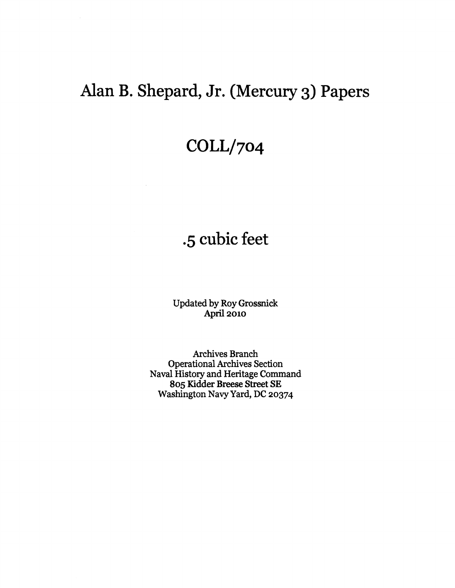# Alan B. Shepard, Jr. (Mercury 3) Papers

# **COLLI704**

# **.5** cubic feet

Updated by Roy Grossnick **April 2010** 

Archives Branch Operational Archives Section Naval History and Heritage Command **805 Kidder Breese Street** SE Washington Navy Yard, DC **20374**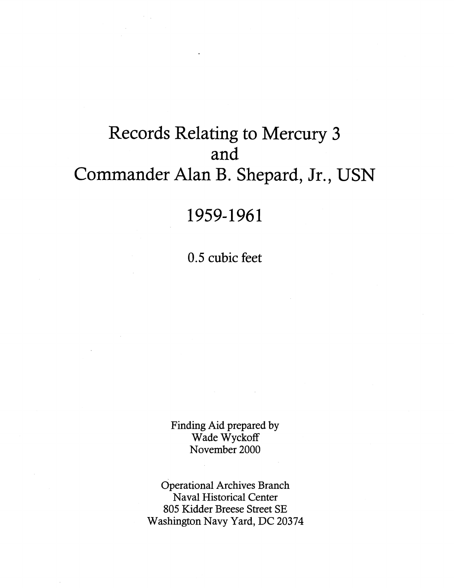# Records Relating to Mercury **3**  and Commander Alan B. Shepard, Jr., USN

## 1959-1961

0.5 cubic feet

Finding Aid prepared by Wade Wyckoff November 2000

Operational Archives Branch Naval Historical Center 805 Kidder Breese Street SE Washington Navy Yard, DC 20374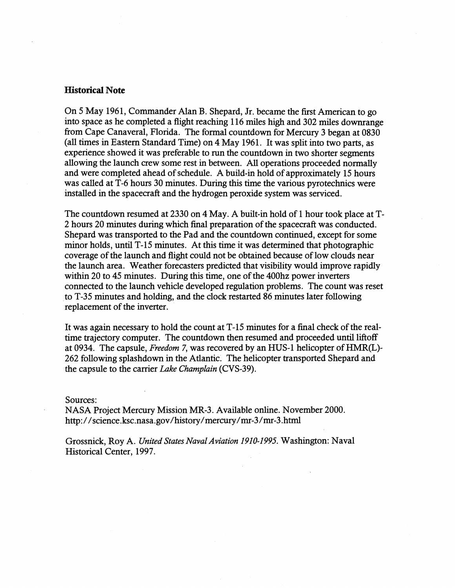#### **Historical Note**

On 5 May 1961, Commander Alan B. Shepard, Jr. became the fist American to go into space as he completed a flight reaching 116 miles high and 302 miles downrange from Cape Canaveral, Florida. The formal countdown for Mercury 3 began at 0830 (all times in Eastern Standard Time) on 4 May 1961. It was split into two parts, as experience showed it was preferable to run the countdown in two shorter segments allowing the launch crew some rest in between. All operations proceeded normally and were completed ahead of schedule. A build-in hold of approximately 15 hours was called at T-6 hours 30 minutes. During this time the various pyrotechnics were installed in the spacecraft and the hydrogen peroxide system was serviced.

The countdown resumed at 2330 on 4 May. A built-in hold of 1 hour took place at T-2 hours 20 minutes during which final preparation of the spacecraft was conducted. Shepard was transported to the Pad and the countdown continued, except for some minor holds, until T-15 minutes. At this time it was determined that photographic coverage of the launch and flight could not be obtained because of low clouds near the launch area. Weather forecasters predicted that visibility would improve rapidly within 20 to 45 minutes. During this time, one of the 400hz power inverters connected to the launch vehicle developed regulation problems. The count was reset to T-35 minutes and holding, and the clock restarted 86 minutes later following replacement of the inverter.

It was again necessary to hold the count at T-15 minutes for a final check of the realtime trajectory computer. The countdown then resumed and proceeded until liftoff at 0934. The capsule, *Freedom* 7, was recovered by an HUS-1 helicopter of HMR(L)- 262 following splashdown in the Atlantic. The helicopter transported Shepard and the capsule to the carrier *Lake Champlain* (CVS-39).

#### Sources:

NASA Project Mercury Mission MR-3. Available online. November 2000. http: **//science.ksc.nasa.gov/history/mercury/mr-3/n1r-3** .html

Grossnick, Roy A. *United States Naval Aviation 1910-1995.* Washington: Naval Historical Center, 1997.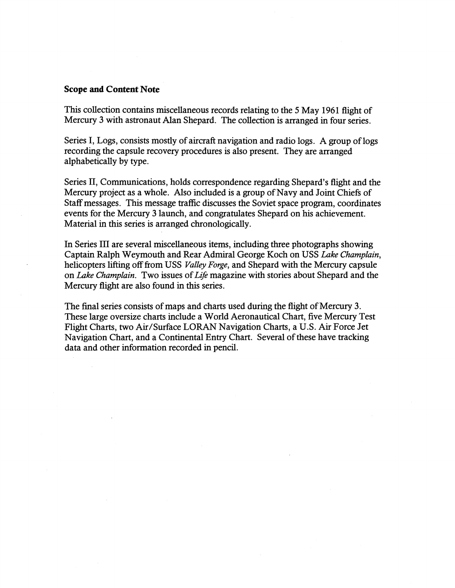#### **Scope and Content Note**

This collection contains miscellaneous records relating to the 5 May 1961 flight of Mercury **3** with astronaut Alan Shepard. The collection is arranged in four series.

Series I, Logs, consists mostly of aircraft navigation and radio logs. A group of logs recording the capsule recovery procedures is also present. They are arranged alphabetically by type.

Series 11, Communications, holds correspondence regarding Shepard's flight and the Mercury project as a whole. Also included is a group of Navy and Joint Chiefs of Staff messages. This message traffic discusses the Soviet space program, coordinates events for the Mercury **3** launch, and congratulates Shepard on his achievement. Material in this series is arranged chronologically.

In Series I11 are several miscellaneous items, including three photographs showing Captain Ralph Weymouth and Rear Admiral George Koch on USS Lake Champlain, helicopters lifting off from USS Valley *Forge,* and Shepard with the Mercury capsule on Lake Champlain. Two issues of Life magazine with stories about Shepard and the Mercury flight are also found in this series.

The final series consists of maps and charts used during the flight of Mercury **3.**  These large oversize charts include a World Aeronautical Chart, five Mercury Test Flight Charts, two Air/Surface LORAN Navigation Charts, a U.S. Air Force Jet Navigation Chart, and a Continental Entry Chart. Several of these have tracking data and other information recorded in pencil.